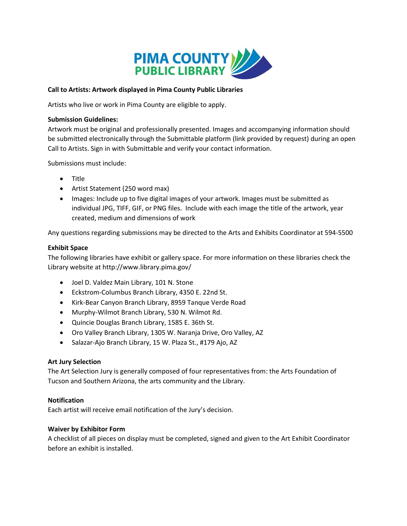

## Call to Artists: Artwork displayed in Pima County Public Libraries

Artists who live or work in Pima County are eligible to apply.

## Submission Guidelines:

Artwork must be original and professionally presented. Images and accompanying information should be submitted electronically through the Submittable platform (link provided by request) during an open Call to Artists. Sign in with Submittable and verify your contact information.

Submissions must include:

- Title
- Artist Statement (250 word max)
- Images: Include up to five digital images of your artwork. Images must be submitted as individual JPG, TIFF, GIF, or PNG files. Include with each image the title of the artwork, year created, medium and dimensions of work

Any questions regarding submissions may be directed to the Arts and Exhibits Coordinator at 594‐5500

## Exhibit Space

The following libraries have exhibit or gallery space. For more information on these libraries check the Library website at http://www.library.pima.gov/

- Joel D. Valdez Main Library, 101 N. Stone
- Eckstrom-Columbus Branch Library, 4350 E. 22nd St.
- Kirk-Bear Canyon Branch Library, 8959 Tanque Verde Road
- Murphy-Wilmot Branch Library, 530 N. Wilmot Rd.
- Quincie Douglas Branch Library, 1585 E. 36th St.
- Oro Valley Branch Library, 1305 W. Naranja Drive, Oro Valley, AZ
- Salazar-Ajo Branch Library, 15 W. Plaza St., #179 Ajo, AZ

# Art Jury Selection

The Art Selection Jury is generally composed of four representatives from: the Arts Foundation of Tucson and Southern Arizona, the arts community and the Library.

# Notification

Each artist will receive email notification of the Jury's decision.

## Waiver by Exhibitor Form

A checklist of all pieces on display must be completed, signed and given to the Art Exhibit Coordinator before an exhibit is installed.